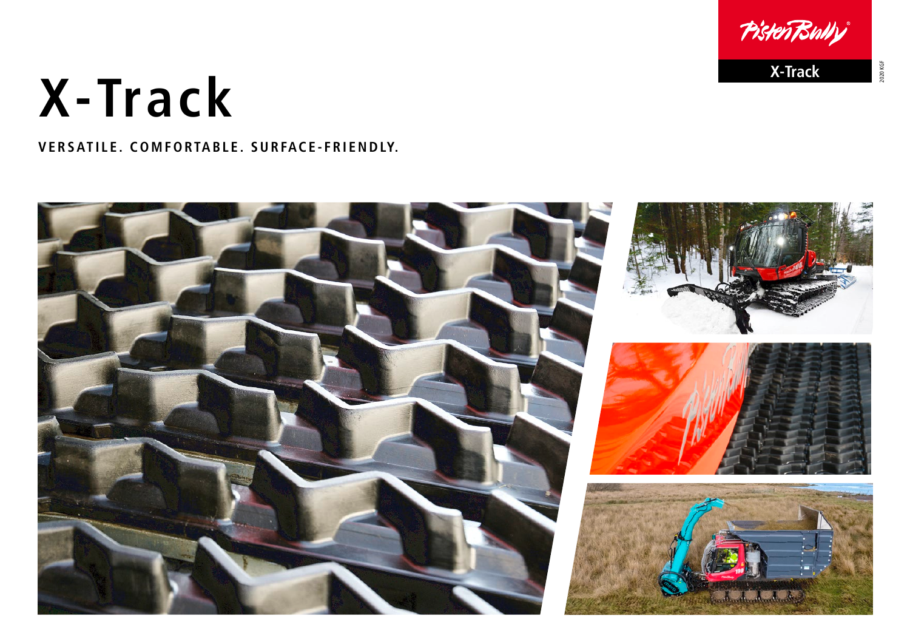## PistenBully

2020 KGF

1930 KGF

## **X-Track X-Track**

VERSATILE. COMFORTABLE. SURFACE-FRIENDLY.